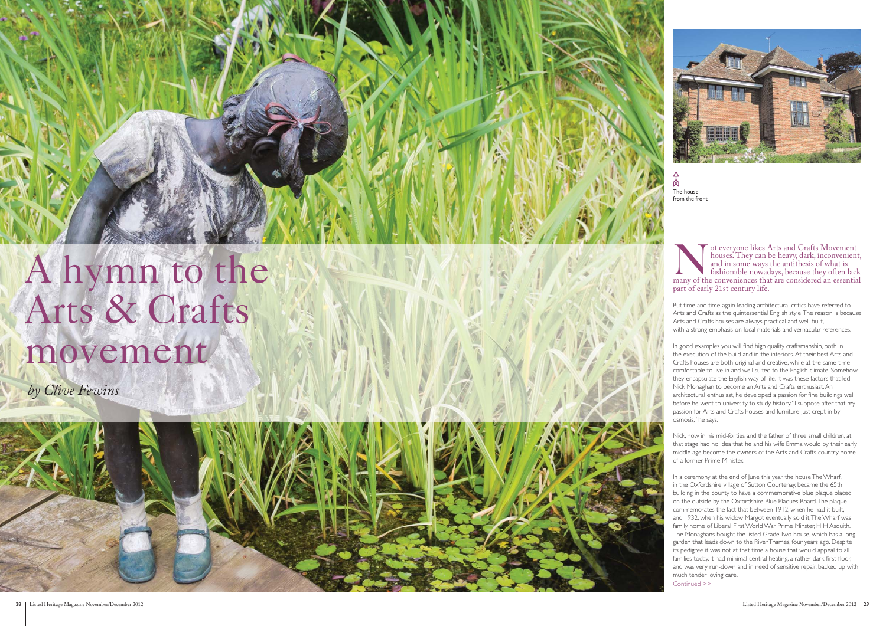

of everyone likes Arts and Crafts Movement<br>houses. They can be heavy, dark, inconvenien<br>and in some ways the antithesis of what is<br>fashionable nowadays, because they often lac houses. They can be heavy, dark, inconvenient, and in some ways the antithesis of what is fashionable nowadays, because they often lack many of the conveniences that are considered an essential part of early 21st century life.

But time and time again leading architectural critics have referred to Arts and Crafts as the quintessential English style. The reason is because Arts and Crafts houses are always practical and well-built, with a strong emphasis on local materials and vernacular references.

In good examples you will find high quality craftsmanship, both in the execution of the build and in the interiors. At their best Arts and Crafts houses are both original and creative, while at the same time comfortable to live in and well suited to the English climate. Somehow they encapsulate the English way of life. It was these factors that led Nick Monaghan to become an Arts and Crafts enthusiast. An architectural enthusiast, he developed a passion for fine buildings well before he went to university to study history. "I suppose after that my passion for Arts and Crafts houses and furniture just crept in by osmosis," he says.



Nick, now in his mid-forties and the father of three small children, at that stage had no idea that he and his wife Emma would by their early middle age become the owners of the Arts and Crafts country home of a former Prime Minister.

In a ceremony at the end of June this year, the house The Wharf, in the Oxfordshire village of Sutton Courtenay, became the 65th building in the county to have a commemorative blue plaque placed on the outside by the Oxfordshire Blue Plaques Board. The plaque commemorates the fact that between 1912, when he had it built, and 1932, when his widow Margot eventually sold it, The Wharf was family home of Liberal First World War Prime Minster, H H Asquith. The Monaghans bought the listed Grade Two house, which has a long garden that leads down to the River Thames, four years ago. Despite its pedigree it was not at that time a house that would appeal to all families today. It had minimal central heating, a rather dark first floor, and was very run-down and in need of sensitive repair, backed up with much tender loving care. Continued >>

# A hymn to the Arts & Crafts movement

*by Clive Fewins*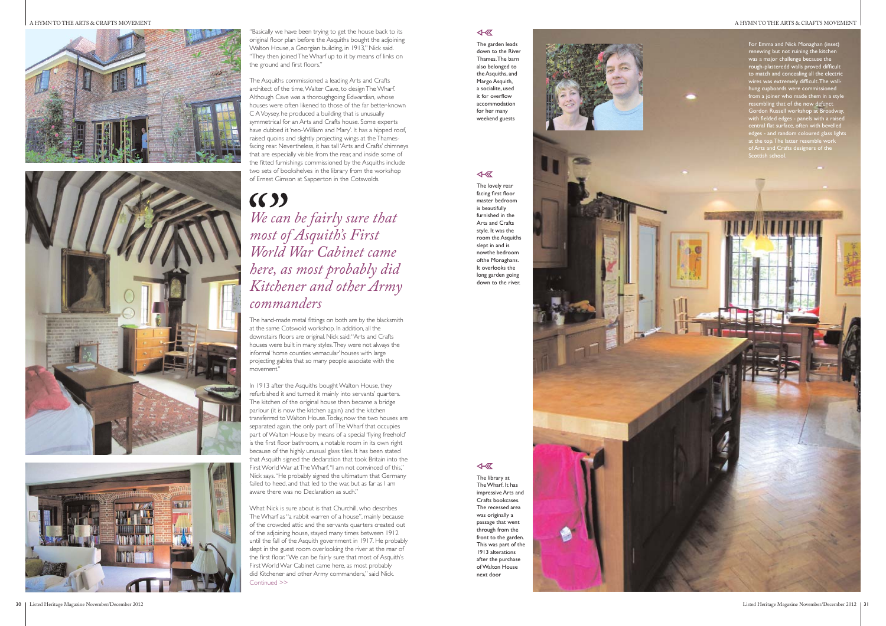A HYMN TO THE ARTS & CRAFTS MOVEMENT







# $(5)$ *We can be fairly sure that most of Asquith's First World War Cabinet came here, as most probably did Kitchener and other Army commanders*

"Basically we have been trying to get the house back to its original floor plan before the Asquiths bought the adjoining Walton House, a Georgian building, in 1913," Nick said. "They then joined The Wharf up to it by means of links on the ground and first floors."

The Asquiths commissioned a leading Arts and Crafts architect of the time, Walter Cave, to design The Wharf. Although Cave was a thoroughgoing Edwardian, whose houses were often likened to those of the far better-known C A Voysey, he produced a building that is unusually symmetrical for an Arts and Crafts house. Some experts have dubbed it 'neo-William and Mary'. It has a hipped roof, raised quoins and slightly projecting wings at the Thamesfacing rear. Nevertheless, it has tall 'Arts and Crafts' chimneys that are especially visible from the rear, and inside some of the fitted furnishings commissioned by the Asquiths include two sets of bookshelves in the library from the workshop of Ernest Gimson at Sapperton in the Cotswolds.

In 1913 after the Asquiths bought Walton House, they refurbished it and turned it mainly into servants' quarters. The kitchen of the original house then became a bridge parlour (it is now the kitchen again) and the kitchen transferred to Walton House. Today, now the two houses are separated again, the only part of The Wharf that occupies part of Walton House by means of a special 'flying freehold' is the first floor bathroom, a notable room in its own right because of the highly unusual glass tiles. It has been stated that Asquith signed the declaration that took Britain into the First World War at The Wharf. "I am not convinced of this," Nick says. "He probably signed the ultimatum that Germany failed to heed, and that led to the war, but as far as I am aware there was no Declaration as such."

The hand-made metal fittings on both are by the blacksmith at the same Cotswold workshop. In addition, all the downstairs floors are original. Nick said: "Arts and Crafts houses were built in many styles. They were not always the informal 'home counties vernacular' houses with large projecting gables that so many people associate with the movement."

What Nick is sure about is that Churchill, who describes The Wharf as "a rabbit warren of a house", mainly because of the crowded attic and the servants quarters created out of the adjoining house, stayed many times between 1912 until the fall of the Asquith government in 1917. He probably slept in the guest room overlooking the river at the rear of the first floor. "We can be fairly sure that most of Asquith's First World War Cabinet came here, as most probably did Kitchener and other Army commanders," said Nick. Continued >>

# $\overline{\mathcal{A}}$

The garden leads down to the River Thames. The barn also belonged to the Asquiths, and Margo Asquith, a socialite, used it for overflow accommodation for her many weekend guests

# $\overline{\left(1+\sqrt{2}\right)}$

The lovely rear facing first floor master bedroom is beautifully furnished in the Arts and Crafts style. It was the room the Asquiths slept in and is nowthe bedroom ofthe Monaghans. It overlooks the long garden going down to the river.



For Emma and Nick Monaghan (inset) renewing but not ruining the kitchen was a major challenge because the rough-plasteredd walls proved difficult to match and concealing all the electric wires was extremely difficult. The wallhung cupboards were commissioned from a joiner who made them in a style resembling that of the now defunct Gordon Russell workshop at Broadway, with fielded edges - panels with a raised central flat surface, often with bevelle<br>Listen and random coloured glass li edges - and random coloured glass lights at the top. The latter resemble work of Arts and Crafts designers of the

The library at The Wharf. It has impressive Arts and Crafts bookcases. The recessed area was originally a passage that went through from the front to the garden. This was part of the 1913 alterations after the purchase of Walton House next door

#### A HYMN TO THE ARTS & CRAFTS MOVEMENT